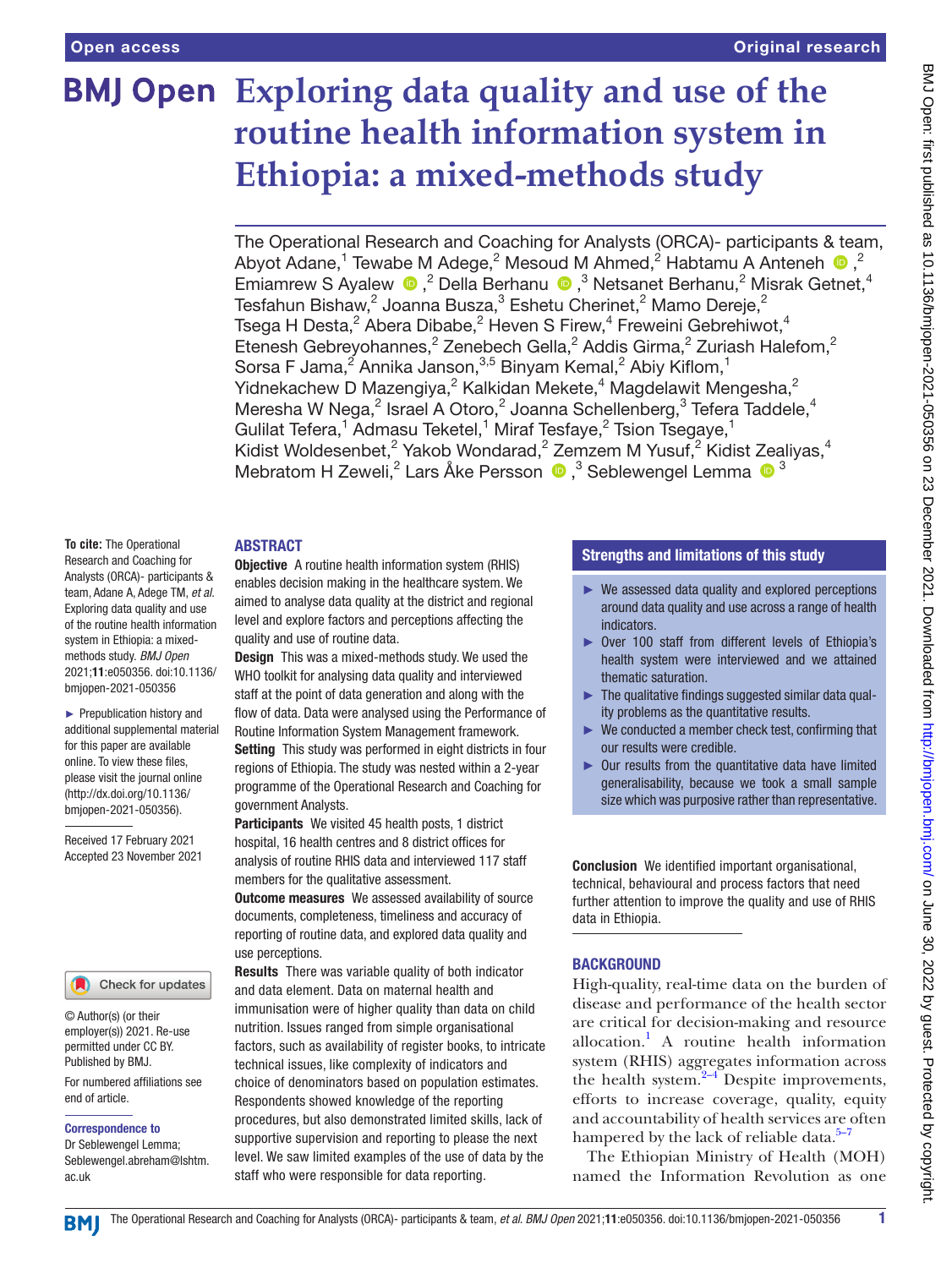# **Exploring data quality and use of the routine health information system in Ethiopia: a mixed-methods study**

The Operational Research and Coaching for Analysts (ORCA)- participants & team, AbyotAdane,<sup>1</sup> Tewabe M Adege,<sup>2</sup> Mesoud M Ahmed,<sup>2</sup> Habtamu A Anteneh <sup>®</sup>,<sup>2</sup> EmiamrewS Ayalew  $\bullet$ ,<sup>2</sup> Della Berhanu  $\bullet$ ,<sup>3</sup> Netsanet Berhanu,<sup>2</sup> Misrak Getnet,<sup>4</sup> Tesfahun Bishaw, $^2$  Joanna Busza, $^3$  Eshetu Cherinet, $^2$  Mamo Dereje, $^2$ Tsega H Desta, $^2$  Abera Dibabe, $^2$  Heven S Firew, $^4$  Freweini Gebrehiwot, $^4$ Etenesh Gebreyohannes,<sup>2</sup> Zenebech Gella,<sup>2</sup> Addis Girma,<sup>2</sup> Zuriash Halefom,<sup>2</sup> Sorsa F Jama, $^2$  Annika Janson, $^{3,5}$  Binyam Kemal, $^2$  Abiy Kiflom, $^1$ Yidnekachew D Mazengiya,<sup>2</sup> Kalkidan Mekete,<sup>4</sup> Magdelawit Mengesha,<sup>2</sup> Meresha W Nega, $^2$  Israel A Otoro, $^2$  Joanna Schellenberg, $^3$  Tefera Taddele, $^4$ Gulilat Tefera,<sup>1</sup> Admasu Teketel,<sup>1</sup> Miraf Tesfaye,<sup>2</sup> Tsion Tsegaye,<sup>1</sup> Kidist Woldesenbet,<sup>2</sup> Yakob Wondarad,<sup>2</sup> Zemzem M Yusuf,<sup>2</sup> Kidist Zealiyas,<sup>4</sup> Mebratom H Zeweli,<sup>2</sup> Lars Åke Persson <sup>®</sup>,<sup>3</sup> Seblewengel Lemma <sup>® 3</sup>

## ABSTRACT

**To cite:** The Operational Research and Coaching for Analysts (ORCA)- participants & team, Adane A, Adege TM, *et al*. Exploring data quality and use of the routine health information system in Ethiopia: a mixedmethods study. *BMJ Open* 2021;11:e050356. doi:10.1136/ bmjopen-2021-050356

► Prepublication history and additional supplemental material for this paper are available online. To view these files, please visit the journal online [\(http://dx.doi.org/10.1136/](http://dx.doi.org/10.1136/bmjopen-2021-050356) [bmjopen-2021-050356](http://dx.doi.org/10.1136/bmjopen-2021-050356)).

Received 17 February 2021 Accepted 23 November 2021

#### Check for updates

© Author(s) (or their employer(s)) 2021. Re-use permitted under CC BY. Published by BMJ.

For numbered affiliations see end of article.

#### Correspondence to

Dr Seblewengel Lemma; Seblewengel.abreham@lshtm. ac.uk

Objective A routine health information system (RHIS) enables decision making in the healthcare system. We aimed to analyse data quality at the district and regional level and explore factors and perceptions affecting the quality and use of routine data.

Design This was a mixed-methods study. We used the WHO toolkit for analysing data quality and interviewed staff at the point of data generation and along with the flow of data. Data were analysed using the Performance of Routine Information System Management framework. Setting This study was performed in eight districts in four regions of Ethiopia. The study was nested within a 2-year programme of the Operational Research and Coaching for government Analysts.

Participants We visited 45 health posts, 1 district hospital, 16 health centres and 8 district offices for analysis of routine RHIS data and interviewed 117 staff members for the qualitative assessment.

**Outcome measures** We assessed availability of source documents, completeness, timeliness and accuracy of reporting of routine data, and explored data quality and use perceptions.

Results There was variable quality of both indicator and data element. Data on maternal health and immunisation were of higher quality than data on child nutrition. Issues ranged from simple organisational factors, such as availability of register books, to intricate technical issues, like complexity of indicators and choice of denominators based on population estimates. Respondents showed knowledge of the reporting procedures, but also demonstrated limited skills, lack of supportive supervision and reporting to please the next level. We saw limited examples of the use of data by the staff who were responsible for data reporting.

## Strengths and limitations of this study

- ► We assessed data quality and explored perceptions around data quality and use across a range of health indicators.
- ► Over 100 staff from different levels of Ethiopia's health system were interviewed and we attained thematic saturation.
- $\blacktriangleright$  The qualitative findings suggested similar data quality problems as the quantitative results.
- We conducted a member check test, confirming that our results were credible.
- ► Our results from the quantitative data have limited generalisability, because we took a small sample size which was purposive rather than representative.

Conclusion We identified important organisational, technical, behavioural and process factors that need further attention to improve the quality and use of RHIS data in Ethiopia.

## **BACKGROUND**

High-quality, real-time data on the burden of disease and performance of the health sector are critical for decision-making and resource allocation.<sup>[1](#page-8-0)</sup> A routine health information system (RHIS) aggregates information across the health system.<sup>[2–4](#page-8-1)</sup> Despite improvements, efforts to increase coverage, quality, equity and accountability of health services are often hampered by the lack of reliable data. $5-7$ 

The Ethiopian Ministry of Health (MOH) named the Information Revolution as one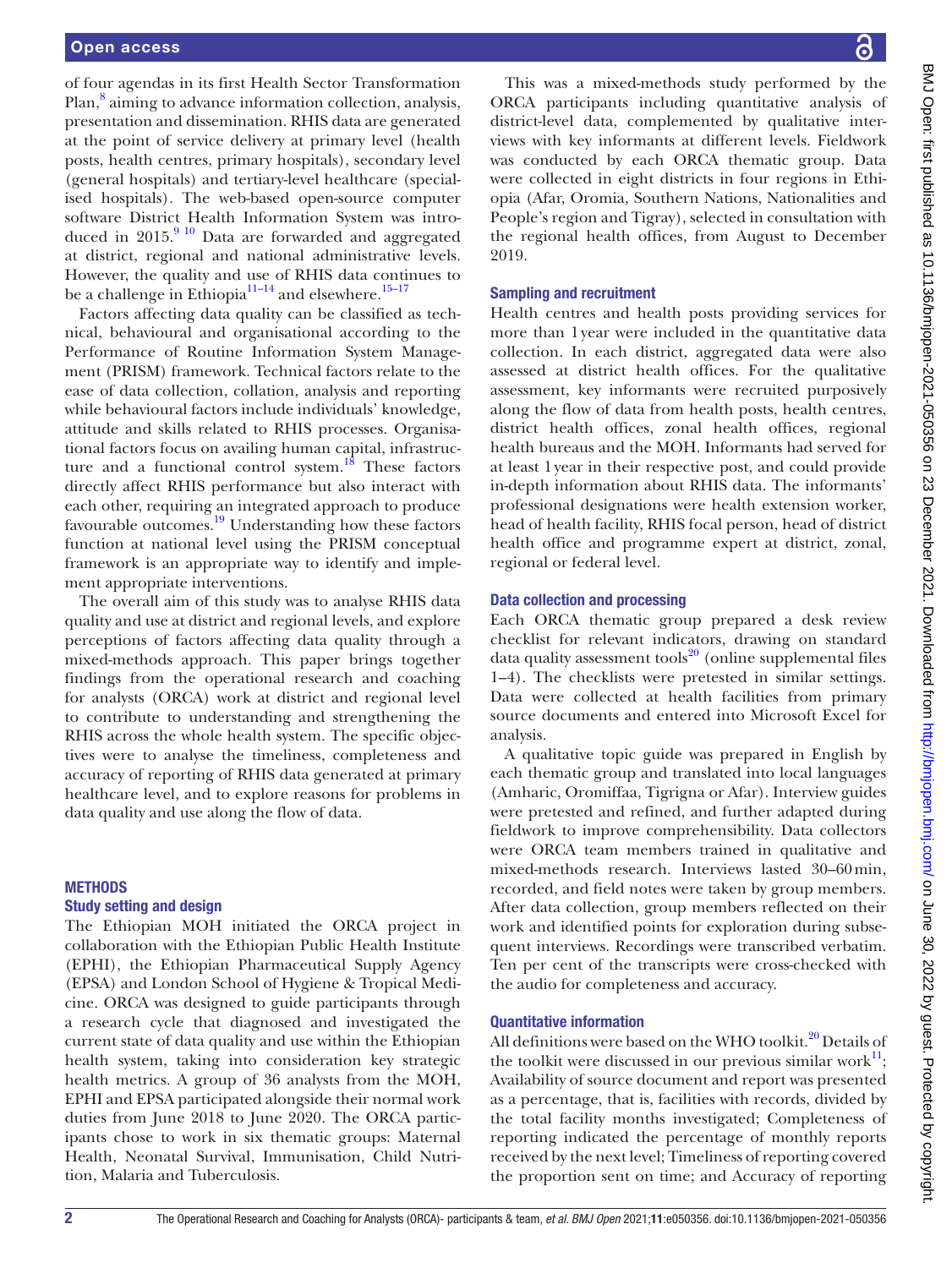of four agendas in its first Health Sector Transformation Plan,<sup>8</sup> aiming to advance information collection, analysis, presentation and dissemination. RHIS data are generated at the point of service delivery at primary level (health posts, health centres, primary hospitals), secondary level (general hospitals) and tertiary-level healthcare (specialised hospitals). The web-based open-source computer software District Health Information System was introduced in  $2015.<sup>910</sup>$  Data are forwarded and aggregated at district, regional and national administrative levels. However, the quality and use of RHIS data continues to be a challenge in Ethiopia<sup>11–14</sup> and elsewhere.<sup>[15–17](#page-8-6)</sup>

Factors affecting data quality can be classified as technical, behavioural and organisational according to the Performance of Routine Information System Management (PRISM) framework. Technical factors relate to the ease of data collection, collation, analysis and reporting while behavioural factors include individuals' knowledge, attitude and skills related to RHIS processes. Organisational factors focus on availing human capital, infrastruc-ture and a functional control system.<sup>[18](#page-8-7)</sup> These factors directly affect RHIS performance but also interact with each other, requiring an integrated approach to produce favourable outcomes.<sup>19</sup> Understanding how these factors function at national level using the PRISM conceptual framework is an appropriate way to identify and implement appropriate interventions.

The overall aim of this study was to analyse RHIS data quality and use at district and regional levels, and explore perceptions of factors affecting data quality through a mixed-methods approach. This paper brings together findings from the operational research and coaching for analysts (ORCA) work at district and regional level to contribute to understanding and strengthening the RHIS across the whole health system. The specific objectives were to analyse the timeliness, completeness and accuracy of reporting of RHIS data generated at primary healthcare level, and to explore reasons for problems in data quality and use along the flow of data.

## METHODS

#### Study setting and design

The Ethiopian MOH initiated the ORCA project in collaboration with the Ethiopian Public Health Institute (EPHI), the Ethiopian Pharmaceutical Supply Agency (EPSA) and London School of Hygiene & Tropical Medicine. ORCA was designed to guide participants through a research cycle that diagnosed and investigated the current state of data quality and use within the Ethiopian health system, taking into consideration key strategic health metrics. A group of 36 analysts from the MOH, EPHI and EPSA participated alongside their normal work duties from June 2018 to June 2020. The ORCA participants chose to work in six thematic groups: Maternal Health, Neonatal Survival, Immunisation, Child Nutrition, Malaria and Tuberculosis.

This was a mixed-methods study performed by the ORCA participants including quantitative analysis of district-level data, complemented by qualitative interviews with key informants at different levels. Fieldwork was conducted by each ORCA thematic group. Data were collected in eight districts in four regions in Ethiopia (Afar, Oromia, Southern Nations, Nationalities and People's region and Tigray), selected in consultation with the regional health offices, from August to December 2019.

### Sampling and recruitment

Health centres and health posts providing services for more than 1year were included in the quantitative data collection. In each district, aggregated data were also assessed at district health offices. For the qualitative assessment, key informants were recruited purposively along the flow of data from health posts, health centres, district health offices, zonal health offices, regional health bureaus and the MOH. Informants had served for at least 1year in their respective post, and could provide in-depth information about RHIS data. The informants' professional designations were health extension worker, head of health facility, RHIS focal person, head of district health office and programme expert at district, zonal, regional or federal level.

### Data collection and processing

Each ORCA thematic group prepared a desk review checklist for relevant indicators, drawing on standard data quality assessment tools $^{20}$  $^{20}$  $^{20}$  (online supplemental files [1–4](https://dx.doi.org/10.1136/bmjopen-2021-050356)). The checklists were pretested in similar settings. Data were collected at health facilities from primary source documents and entered into Microsoft Excel for analysis.

A qualitative topic guide was prepared in English by each thematic group and translated into local languages (Amharic, Oromiffaa, Tigrigna or Afar). Interview guides were pretested and refined, and further adapted during fieldwork to improve comprehensibility. Data collectors were ORCA team members trained in qualitative and mixed-methods research. Interviews lasted 30–60min, recorded, and field notes were taken by group members. After data collection, group members reflected on their work and identified points for exploration during subsequent interviews. Recordings were transcribed verbatim. Ten per cent of the transcripts were cross-checked with the audio for completeness and accuracy.

### Quantitative information

All definitions were based on the WHO toolkit. $^{20}$  Details of the toolkit were discussed in our previous similar work $^{11}$ ; Availability of source document and report was presented as a percentage, that is, facilities with records, divided by the total facility months investigated; Completeness of reporting indicated the percentage of monthly reports received by the next level; Timeliness of reporting covered the proportion sent on time; and Accuracy of reporting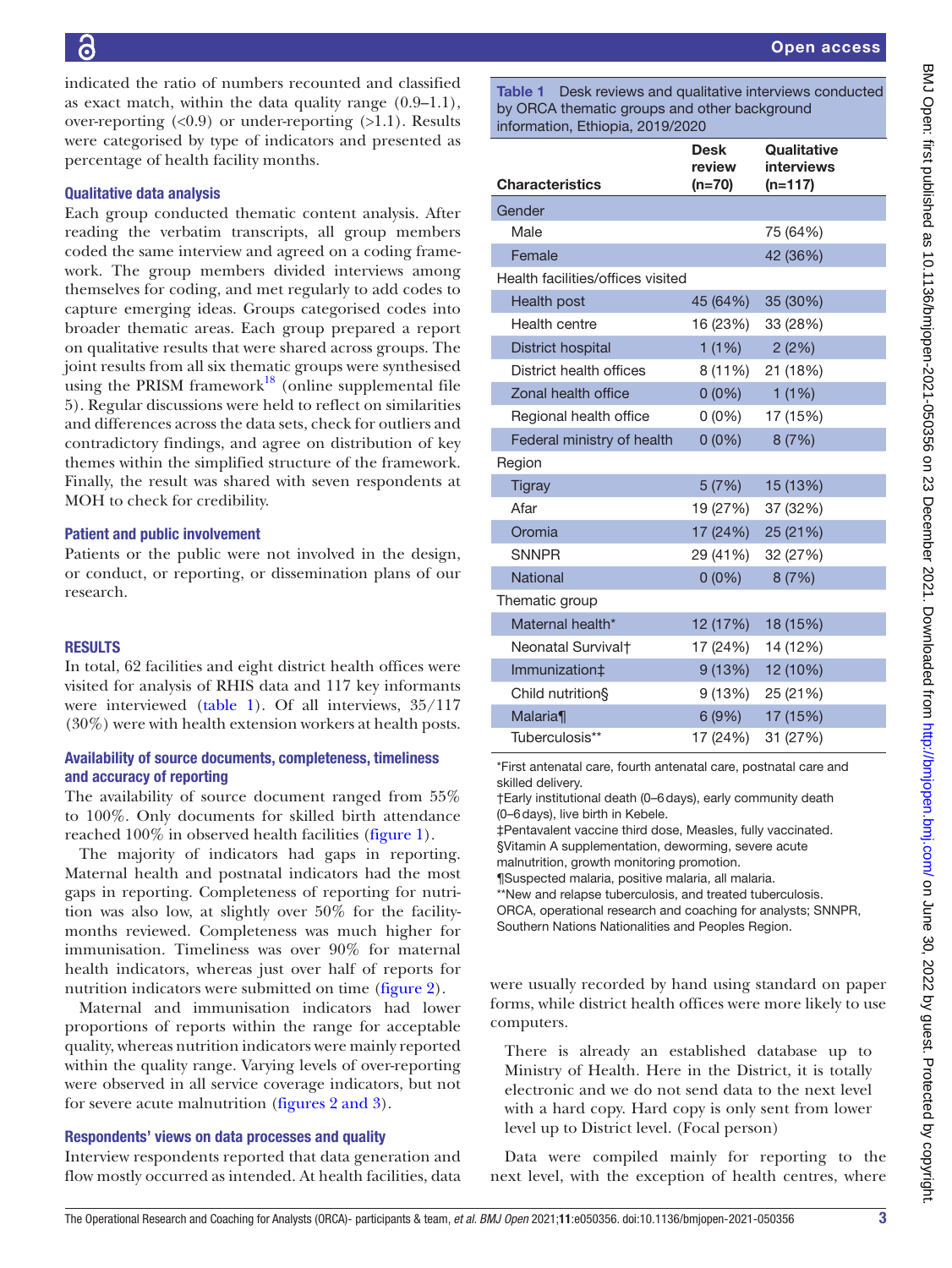indicated the ratio of numbers recounted and classified as exact match, within the data quality range (0.9–1.1), over-reporting  $(0.9)$  or under-reporting  $(0.1)$ . Results were categorised by type of indicators and presented as percentage of health facility months.

## Qualitative data analysis

Each group conducted thematic content analysis. After reading the verbatim transcripts, all group members coded the same interview and agreed on a coding framework. The group members divided interviews among themselves for coding, and met regularly to add codes to capture emerging ideas. Groups categorised codes into broader thematic areas. Each group prepared a report on qualitative results that were shared across groups. The joint results from all six thematic groups were synthesised using the PRISM framework<sup>18</sup> [\(online supplemental file](https://dx.doi.org/10.1136/bmjopen-2021-050356) [5\)](https://dx.doi.org/10.1136/bmjopen-2021-050356). Regular discussions were held to reflect on similarities and differences across the data sets, check for outliers and contradictory findings, and agree on distribution of key themes within the simplified structure of the framework. Finally, the result was shared with seven respondents at MOH to check for credibility.

## Patient and public involvement

Patients or the public were not involved in the design, or conduct, or reporting, or dissemination plans of our research.

## RESULTS

In total, 62 facilities and eight district health offices were visited for analysis of RHIS data and 117 key informants were interviewed [\(table](#page-2-0) 1). Of all interviews, 35/117 (30%) were with health extension workers at health posts.

# Availability of source documents, completeness, timeliness and accuracy of reporting

The availability of source document ranged from 55% to 100%. Only documents for skilled birth attendance reached 100% in observed health facilities ([figure](#page-3-0) 1).

The majority of indicators had gaps in reporting. Maternal health and postnatal indicators had the most gaps in reporting. Completeness of reporting for nutrition was also low, at slightly over 50% for the facilitymonths reviewed. Completeness was much higher for immunisation. Timeliness was over 90% for maternal health indicators, whereas just over half of reports for nutrition indicators were submitted on time [\(figure](#page-3-1) 2).

Maternal and immunisation indicators had lower proportions of reports within the range for acceptable quality, whereas nutrition indicators were mainly reported within the quality range. Varying levels of over-reporting were observed in all service coverage indicators, but not for severe acute malnutrition (figures [2 and 3](#page-3-1)).

## Respondents' views on data processes and quality

Interview respondents reported that data generation and flow mostly occurred as intended. At health facilities, data <span id="page-2-0"></span>Table 1 Desk reviews and qualitative interviews conducted by ORCA thematic groups and other background  $inter$  Ethiopia, 2010/2020

| $\overline{a}$ $\overline{b}$ $\overline{c}$ $\overline{c}$ $\overline{c}$ $\overline{c}$ $\overline{c}$ $\overline{c}$ $\overline{c}$ $\overline{c}$ $\overline{c}$ $\overline{c}$ $\overline{c}$ $\overline{c}$ $\overline{c}$ $\overline{c}$ $\overline{c}$ $\overline{c}$ $\overline{c}$ $\overline{c}$ $\overline{c}$ $\overline{c}$ $\overline{c}$ $\overline{c}$ $\overline{$ |                                 |                                               |  |
|--------------------------------------------------------------------------------------------------------------------------------------------------------------------------------------------------------------------------------------------------------------------------------------------------------------------------------------------------------------------------------------|---------------------------------|-----------------------------------------------|--|
| <b>Characteristics</b>                                                                                                                                                                                                                                                                                                                                                               | <b>Desk</b><br>review<br>(n=70) | Qualitative<br><b>interviews</b><br>$(n=117)$ |  |
| Gender                                                                                                                                                                                                                                                                                                                                                                               |                                 |                                               |  |
| Male                                                                                                                                                                                                                                                                                                                                                                                 |                                 | 75 (64%)                                      |  |
| Female                                                                                                                                                                                                                                                                                                                                                                               |                                 | 42 (36%)                                      |  |
| Health facilities/offices visited                                                                                                                                                                                                                                                                                                                                                    |                                 |                                               |  |
| Health post                                                                                                                                                                                                                                                                                                                                                                          | 45 (64%)                        | 35 (30%)                                      |  |
| Health centre                                                                                                                                                                                                                                                                                                                                                                        | 16 (23%)                        | 33 (28%)                                      |  |
| District hospital                                                                                                                                                                                                                                                                                                                                                                    | 1(1%)                           | 2(2%)                                         |  |
| District health offices                                                                                                                                                                                                                                                                                                                                                              | 8 (11%)                         | 21 (18%)                                      |  |
| Zonal health office                                                                                                                                                                                                                                                                                                                                                                  | $0(0\%)$                        | 1(1%)                                         |  |
| Regional health office                                                                                                                                                                                                                                                                                                                                                               | $0(0\%)$                        | 17 (15%)                                      |  |
| Federal ministry of health                                                                                                                                                                                                                                                                                                                                                           | $0(0\%)$                        | 8(7%)                                         |  |
| Region                                                                                                                                                                                                                                                                                                                                                                               |                                 |                                               |  |
| <b>Tigray</b>                                                                                                                                                                                                                                                                                                                                                                        | 5(7%)                           | 15 (13%)                                      |  |
| Afar                                                                                                                                                                                                                                                                                                                                                                                 | 19 (27%)                        | 37 (32%)                                      |  |
| Oromia                                                                                                                                                                                                                                                                                                                                                                               | 17 (24%)                        | 25 (21%)                                      |  |
| <b>SNNPR</b>                                                                                                                                                                                                                                                                                                                                                                         | 29 (41%)                        | 32 (27%)                                      |  |
| <b>National</b>                                                                                                                                                                                                                                                                                                                                                                      | $0(0\%)$                        | 8(7%)                                         |  |
| Thematic group                                                                                                                                                                                                                                                                                                                                                                       |                                 |                                               |  |
| Maternal health*                                                                                                                                                                                                                                                                                                                                                                     | 12 (17%)                        | 18 (15%)                                      |  |
| Neonatal Survival <sup>+</sup>                                                                                                                                                                                                                                                                                                                                                       | 17 (24%)                        | 14 (12%)                                      |  |
| Immunization‡                                                                                                                                                                                                                                                                                                                                                                        |                                 | $9(13\%)$ 12 (10%)                            |  |
| Child nutrition§                                                                                                                                                                                                                                                                                                                                                                     |                                 | 9 (13%) 25 (21%)                              |  |
| Malaria                                                                                                                                                                                                                                                                                                                                                                              | 6(9%)                           | 17 (15%)                                      |  |
| Tuberculosis**                                                                                                                                                                                                                                                                                                                                                                       | 17 (24%)                        | 31 (27%)                                      |  |

\*First antenatal care, fourth antenatal care, postnatal care and skilled delivery.

†Early institutional death (0–6days), early community death (0–6days), live birth in Kebele.

‡Pentavalent vaccine third dose, Measles, fully vaccinated. §Vitamin A supplementation, deworming, severe acute malnutrition, growth monitoring promotion.

¶Suspected malaria, positive malaria, all malaria. \*\*New and relapse tuberculosis, and treated tuberculosis. ORCA, operational research and coaching for analysts; SNNPR,

Southern Nations Nationalities and Peoples Region.

were usually recorded by hand using standard on paper forms, while district health offices were more likely to use computers.

There is already an established database up to Ministry of Health. Here in the District, it is totally electronic and we do not send data to the next level with a hard copy. Hard copy is only sent from lower level up to District level. (Focal person)

Data were compiled mainly for reporting to the next level, with the exception of health centres, where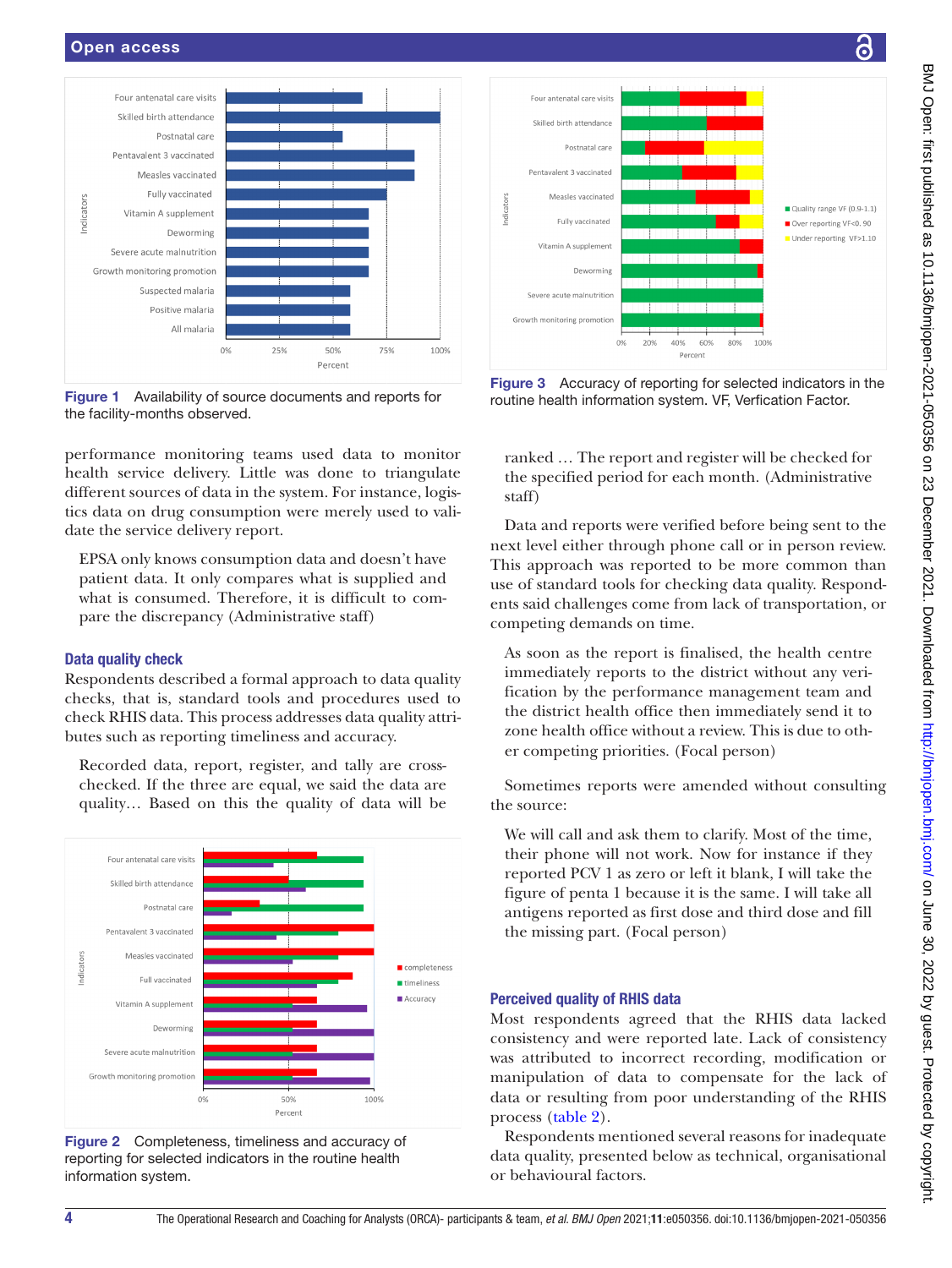

<span id="page-3-0"></span>Figure 1 Availability of source documents and reports for the facility-months observed.

performance monitoring teams used data to monitor health service delivery. Little was done to triangulate different sources of data in the system. For instance, logistics data on drug consumption were merely used to validate the service delivery report.

EPSA only knows consumption data and doesn't have patient data. It only compares what is supplied and what is consumed. Therefore, it is difficult to compare the discrepancy (Administrative staff)

## Data quality check

Respondents described a formal approach to data quality checks, that is, standard tools and procedures used to check RHIS data. This process addresses data quality attributes such as reporting timeliness and accuracy.

Recorded data, report, register, and tally are crosschecked. If the three are equal, we said the data are quality… Based on this the quality of data will be



<span id="page-3-1"></span>Figure 2 Completeness, timeliness and accuracy of reporting for selected indicators in the routine health information system.



Figure 3 Accuracy of reporting for selected indicators in the routine health information system. VF, Verfication Factor.

ranked … The report and register will be checked for the specified period for each month. (Administrative staff)

Data and reports were verified before being sent to the next level either through phone call or in person review. This approach was reported to be more common than use of standard tools for checking data quality. Respondents said challenges come from lack of transportation, or competing demands on time.

As soon as the report is finalised, the health centre immediately reports to the district without any verification by the performance management team and the district health office then immediately send it to zone health office without a review. This is due to other competing priorities. (Focal person)

Sometimes reports were amended without consulting the source:

We will call and ask them to clarify. Most of the time, their phone will not work. Now for instance if they reported PCV 1 as zero or left it blank, I will take the figure of penta 1 because it is the same. I will take all antigens reported as first dose and third dose and fill the missing part. (Focal person)

## Perceived quality of RHIS data

Most respondents agreed that the RHIS data lacked consistency and were reported late. Lack of consistency was attributed to incorrect recording, modification or manipulation of data to compensate for the lack of data or resulting from poor understanding of the RHIS process [\(table](#page-4-0) 2).

Respondents mentioned several reasons for inadequate data quality, presented below as technical, organisational or behavioural factors.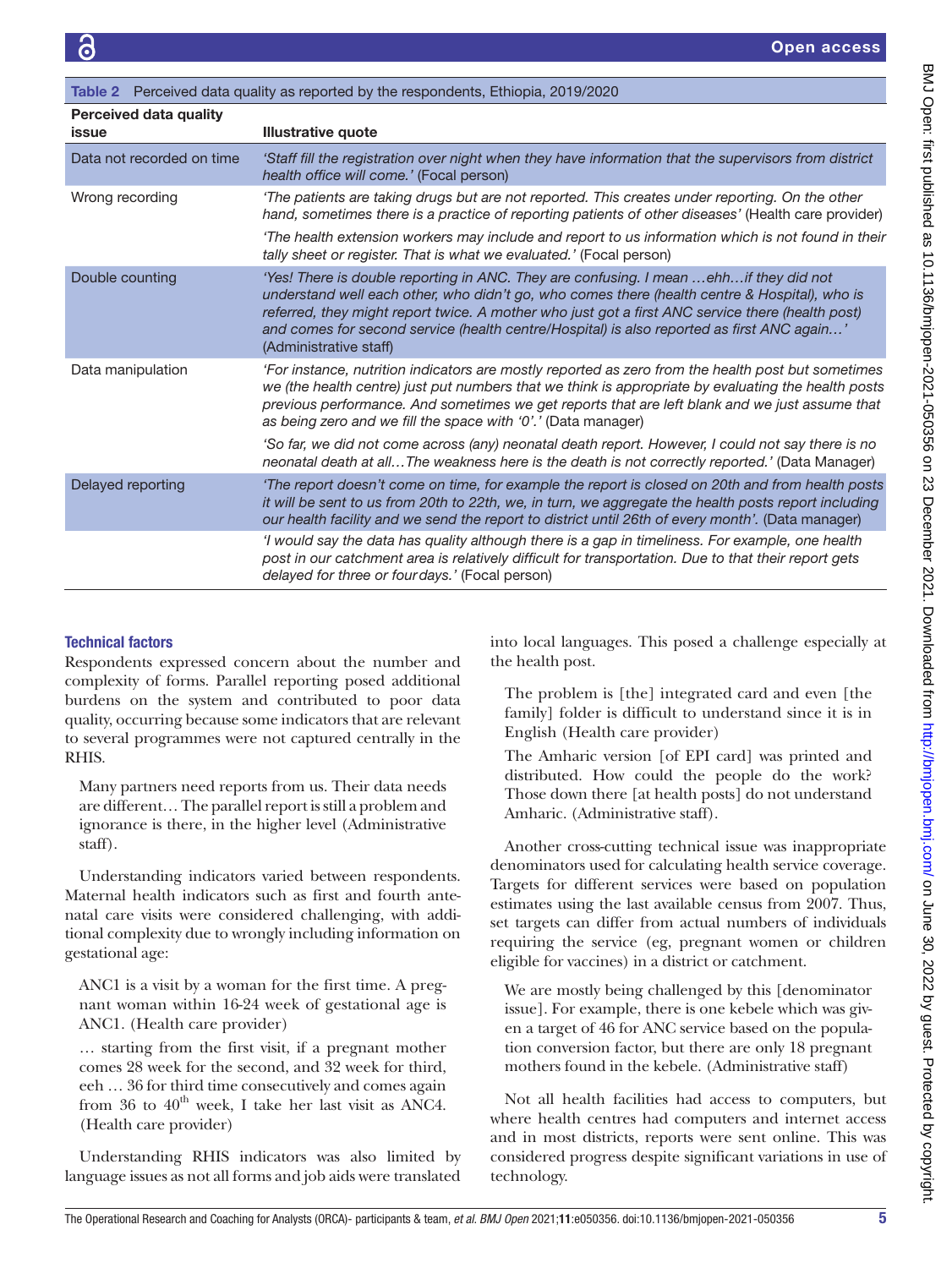<span id="page-4-0"></span>

| <b>Table 2</b> Perceived data quality as reported by the respondents, Ethiopia, 2019/2020 |                                                                                                                                                                                                                                                                                                                                                                                                                      |  |
|-------------------------------------------------------------------------------------------|----------------------------------------------------------------------------------------------------------------------------------------------------------------------------------------------------------------------------------------------------------------------------------------------------------------------------------------------------------------------------------------------------------------------|--|
| <b>Perceived data quality</b><br>issue                                                    | <b>Illustrative quote</b>                                                                                                                                                                                                                                                                                                                                                                                            |  |
| Data not recorded on time                                                                 | 'Staff fill the registration over night when they have information that the supervisors from district<br>health office will come.' (Focal person)                                                                                                                                                                                                                                                                    |  |
| Wrong recording                                                                           | 'The patients are taking drugs but are not reported. This creates under reporting. On the other<br>hand, sometimes there is a practice of reporting patients of other diseases' (Health care provider)                                                                                                                                                                                                               |  |
|                                                                                           | The health extension workers may include and report to us information which is not found in their<br>tally sheet or register. That is what we evaluated.' (Focal person)                                                                                                                                                                                                                                             |  |
| Double counting                                                                           | 'Yes! There is double reporting in ANC. They are confusing. I mean  ehh if they did not<br>understand well each other, who didn't go, who comes there (health centre & Hospital), who is<br>referred, they might report twice. A mother who just got a first ANC service there (health post)<br>and comes for second service (health centre/Hospital) is also reported as first ANC again'<br>(Administrative staff) |  |
| Data manipulation                                                                         | For instance, nutrition indicators are mostly reported as zero from the health post but sometimes<br>we (the health centre) just put numbers that we think is appropriate by evaluating the health posts<br>previous performance. And sometimes we get reports that are left blank and we just assume that<br>as being zero and we fill the space with '0'.' (Data manager)                                          |  |
|                                                                                           | 'So far, we did not come across (any) neonatal death report. However, I could not say there is no<br>neonatal death at allThe weakness here is the death is not correctly reported.' (Data Manager)                                                                                                                                                                                                                  |  |
| Delayed reporting                                                                         | 'The report doesn't come on time, for example the report is closed on 20th and from health posts<br>it will be sent to us from 20th to 22th, we, in turn, we aggregate the health posts report including<br>our health facility and we send the report to district until 26th of every month'. (Data manager)                                                                                                        |  |
|                                                                                           | 'I would say the data has quality although there is a gap in timeliness. For example, one health<br>post in our catchment area is relatively difficult for transportation. Due to that their report gets<br>delayed for three or fourdays.' (Focal person)                                                                                                                                                           |  |

# Technical factors

Respondents expressed concern about the number and complexity of forms. Parallel reporting posed additional burdens on the system and contributed to poor data quality, occurring because some indicators that are relevant to several programmes were not captured centrally in the RHIS.

Many partners need reports from us. Their data needs are different… The parallel report is still a problem and ignorance is there, in the higher level (Administrative staff).

Understanding indicators varied between respondents. Maternal health indicators such as first and fourth antenatal care visits were considered challenging, with additional complexity due to wrongly including information on gestational age:

ANC1 is a visit by a woman for the first time. A pregnant woman within 16-24 week of gestational age is ANC1. (Health care provider)

… starting from the first visit, if a pregnant mother comes 28 week for the second, and 32 week for third, eeh … 36 for third time consecutively and comes again from 36 to  $40^{\text{th}}$  week, I take her last visit as ANC4. (Health care provider)

Understanding RHIS indicators was also limited by language issues as not all forms and job aids were translated

into local languages. This posed a challenge especially at the health post.

The problem is [the] integrated card and even [the family] folder is difficult to understand since it is in English (Health care provider)

The Amharic version [of EPI card] was printed and distributed. How could the people do the work? Those down there [at health posts] do not understand Amharic. (Administrative staff).

Another cross-cutting technical issue was inappropriate denominators used for calculating health service coverage. Targets for different services were based on population estimates using the last available census from 2007. Thus, set targets can differ from actual numbers of individuals requiring the service (eg, pregnant women or children eligible for vaccines) in a district or catchment.

We are mostly being challenged by this [denominator issue]. For example, there is one kebele which was given a target of 46 for ANC service based on the population conversion factor, but there are only 18 pregnant mothers found in the kebele. (Administrative staff)

Not all health facilities had access to computers, but where health centres had computers and internet access and in most districts, reports were sent online. This was considered progress despite significant variations in use of technology.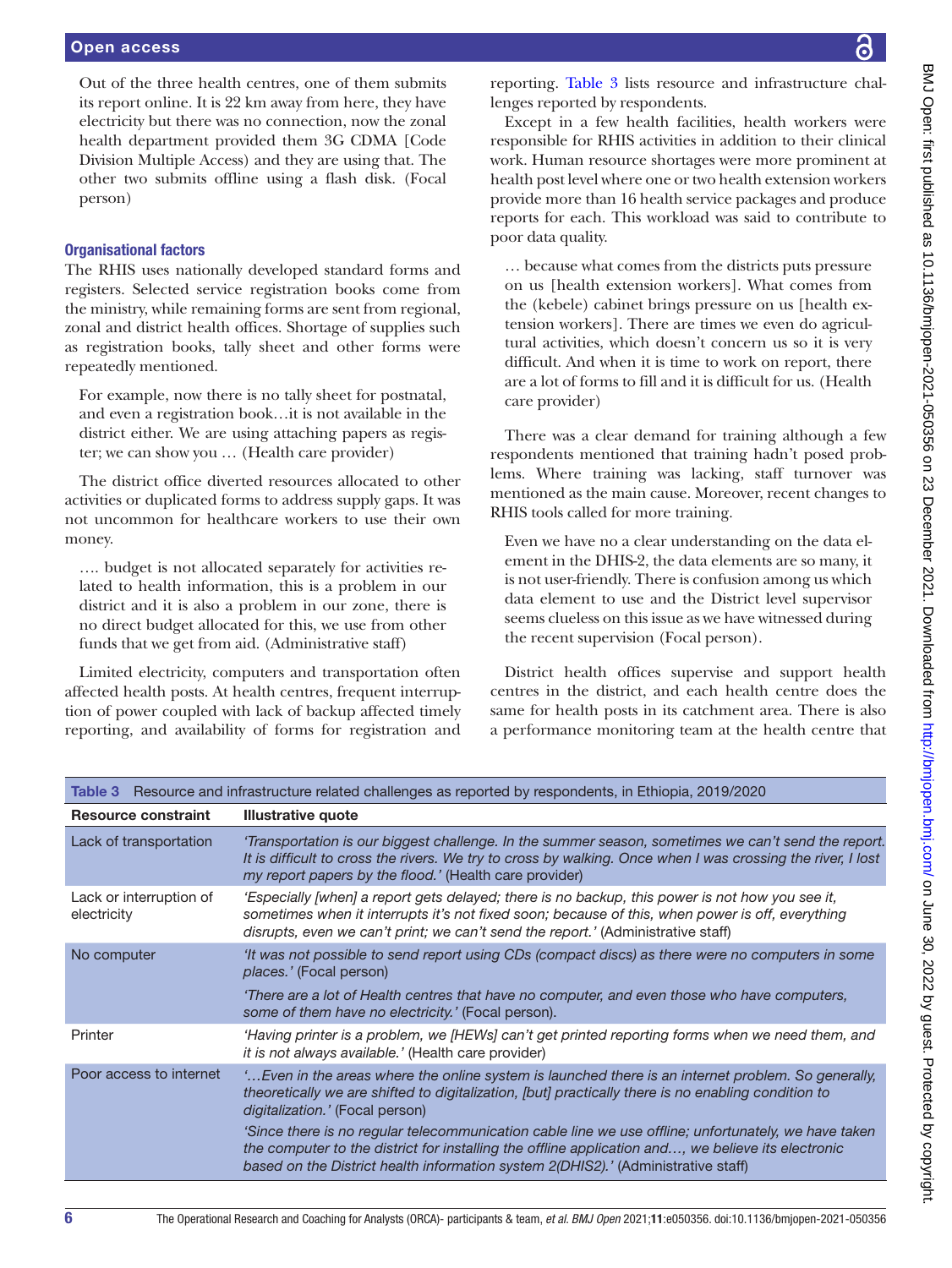Out of the three health centres, one of them submits its report online. It is 22 km away from here, they have electricity but there was no connection, now the zonal health department provided them 3G CDMA [Code Division Multiple Access) and they are using that. The other two submits offline using a flash disk. (Focal person)

## Organisational factors

The RHIS uses nationally developed standard forms and registers. Selected service registration books come from the ministry, while remaining forms are sent from regional, zonal and district health offices. Shortage of supplies such as registration books, tally sheet and other forms were repeatedly mentioned.

For example, now there is no tally sheet for postnatal, and even a registration book…it is not available in the district either. We are using attaching papers as register; we can show you … (Health care provider)

The district office diverted resources allocated to other activities or duplicated forms to address supply gaps. It was not uncommon for healthcare workers to use their own money.

…. budget is not allocated separately for activities related to health information, this is a problem in our district and it is also a problem in our zone, there is no direct budget allocated for this, we use from other funds that we get from aid. (Administrative staff)

Limited electricity, computers and transportation often affected health posts. At health centres, frequent interruption of power coupled with lack of backup affected timely reporting, and availability of forms for registration and

reporting. [Table](#page-5-0) 3 lists resource and infrastructure challenges reported by respondents.

Except in a few health facilities, health workers were responsible for RHIS activities in addition to their clinical work. Human resource shortages were more prominent at health post level where one or two health extension workers provide more than 16 health service packages and produce reports for each. This workload was said to contribute to poor data quality.

… because what comes from the districts puts pressure on us [health extension workers]. What comes from the (kebele) cabinet brings pressure on us [health extension workers]. There are times we even do agricultural activities, which doesn't concern us so it is very difficult. And when it is time to work on report, there are a lot of forms to fill and it is difficult for us. (Health care provider)

There was a clear demand for training although a few respondents mentioned that training hadn't posed problems. Where training was lacking, staff turnover was mentioned as the main cause. Moreover, recent changes to RHIS tools called for more training.

Even we have no a clear understanding on the data element in the DHIS-2, the data elements are so many, it is not user-friendly. There is confusion among us which data element to use and the District level supervisor seems clueless on this issue as we have witnessed during the recent supervision (Focal person).

District health offices supervise and support health centres in the district, and each health centre does the same for health posts in its catchment area. There is also a performance monitoring team at the health centre that

|                                        | The process of the model we can be related to identify to do to be reported by the proported in Europia, Lot of                                                                                                                                                                                 |
|----------------------------------------|-------------------------------------------------------------------------------------------------------------------------------------------------------------------------------------------------------------------------------------------------------------------------------------------------|
| <b>Resource constraint</b>             | Illustrative quote                                                                                                                                                                                                                                                                              |
| Lack of transportation                 | 'Transportation is our biggest challenge. In the summer season, sometimes we can't send the report.<br>It is difficult to cross the rivers. We try to cross by walking. Once when I was crossing the river, I lost<br>my report papers by the flood.' (Health care provider)                    |
| Lack or interruption of<br>electricity | 'Especially [when] a report gets delayed; there is no backup, this power is not how you see it,<br>sometimes when it interrupts it's not fixed soon; because of this, when power is off, everything<br>disrupts, even we can't print; we can't send the report.' (Administrative staff)         |
| No computer                            | 'It was not possible to send report using CDs (compact discs) as there were no computers in some<br>places.' (Focal person)                                                                                                                                                                     |
|                                        | 'There are a lot of Health centres that have no computer, and even those who have computers,<br>some of them have no electricity.' (Focal person).                                                                                                                                              |
| Printer                                | 'Having printer is a problem, we [HEWs] can't get printed reporting forms when we need them, and<br>it is not always available.' (Health care provider)                                                                                                                                         |
| Poor access to internet                | " Even in the areas where the online system is launched there is an internet problem. So generally,<br>theoretically we are shifted to digitalization, [but] practically there is no enabling condition to<br>digitalization.' (Focal person)                                                   |
|                                        | 'Since there is no regular telecommunication cable line we use offline; unfortunately, we have taken<br>the computer to the district for installing the offline application and, we believe its electronic<br>based on the District health information system 2(DHIS2).' (Administrative staff) |

<span id="page-5-0"></span>Table 3 Resource and infrastructure related challenges as reported by respondents, in Ethiopia, 2019/2020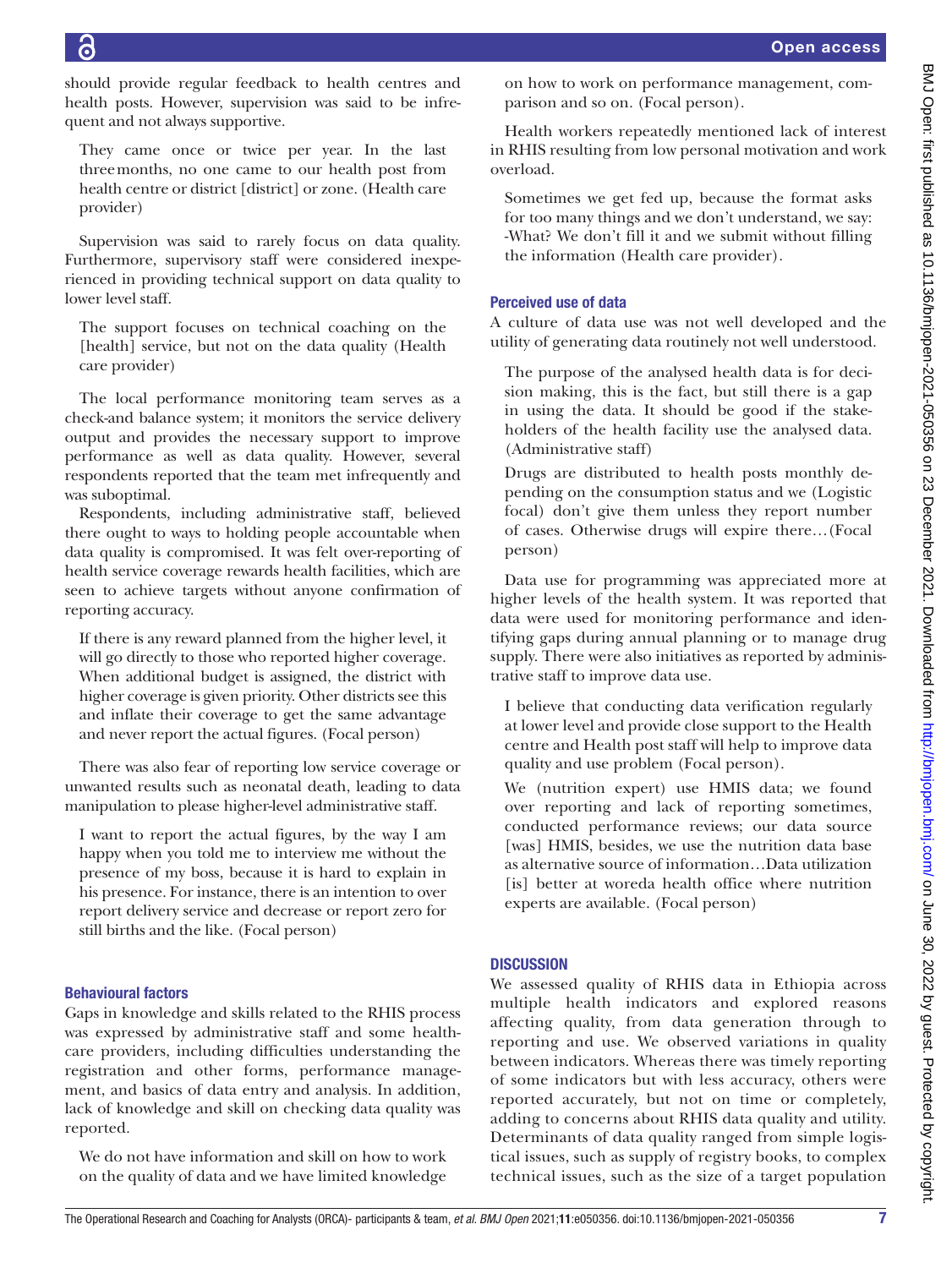should provide regular feedback to health centres and health posts. However, supervision was said to be infrequent and not always supportive.

They came once or twice per year. In the last threemonths, no one came to our health post from health centre or district [district] or zone. (Health care provider)

Supervision was said to rarely focus on data quality. Furthermore, supervisory staff were considered inexperienced in providing technical support on data quality to lower level staff.

The support focuses on technical coaching on the [health] service, but not on the data quality (Health care provider)

The local performance monitoring team serves as a check-and balance system; it monitors the service delivery output and provides the necessary support to improve performance as well as data quality. However, several respondents reported that the team met infrequently and was suboptimal.

Respondents, including administrative staff, believed there ought to ways to holding people accountable when data quality is compromised. It was felt over-reporting of health service coverage rewards health facilities, which are seen to achieve targets without anyone confirmation of reporting accuracy.

If there is any reward planned from the higher level, it will go directly to those who reported higher coverage. When additional budget is assigned, the district with higher coverage is given priority. Other districts see this and inflate their coverage to get the same advantage and never report the actual figures. (Focal person)

There was also fear of reporting low service coverage or unwanted results such as neonatal death, leading to data manipulation to please higher-level administrative staff.

I want to report the actual figures, by the way I am happy when you told me to interview me without the presence of my boss, because it is hard to explain in his presence. For instance, there is an intention to over report delivery service and decrease or report zero for still births and the like. (Focal person)

# Behavioural factors

Gaps in knowledge and skills related to the RHIS process was expressed by administrative staff and some healthcare providers, including difficulties understanding the registration and other forms, performance management, and basics of data entry and analysis. In addition, lack of knowledge and skill on checking data quality was reported.

We do not have information and skill on how to work on the quality of data and we have limited knowledge on how to work on performance management, comparison and so on. (Focal person).

Health workers repeatedly mentioned lack of interest in RHIS resulting from low personal motivation and work overload.

Sometimes we get fed up, because the format asks for too many things and we don't understand, we say: -What? We don't fill it and we submit without filling the information (Health care provider).

# Perceived use of data

A culture of data use was not well developed and the utility of generating data routinely not well understood.

The purpose of the analysed health data is for decision making, this is the fact, but still there is a gap in using the data. It should be good if the stakeholders of the health facility use the analysed data. (Administrative staff)

Drugs are distributed to health posts monthly depending on the consumption status and we (Logistic focal) don't give them unless they report number of cases. Otherwise drugs will expire there…(Focal person)

Data use for programming was appreciated more at higher levels of the health system. It was reported that data were used for monitoring performance and identifying gaps during annual planning or to manage drug supply. There were also initiatives as reported by administrative staff to improve data use.

I believe that conducting data verification regularly at lower level and provide close support to the Health centre and Health post staff will help to improve data quality and use problem (Focal person).

We (nutrition expert) use HMIS data; we found over reporting and lack of reporting sometimes, conducted performance reviews; our data source [was] HMIS, besides, we use the nutrition data base as alternative source of information…Data utilization [is] better at woreda health office where nutrition experts are available. (Focal person)

# **DISCUSSION**

We assessed quality of RHIS data in Ethiopia across multiple health indicators and explored reasons affecting quality, from data generation through to reporting and use. We observed variations in quality between indicators. Whereas there was timely reporting of some indicators but with less accuracy, others were reported accurately, but not on time or completely, adding to concerns about RHIS data quality and utility. Determinants of data quality ranged from simple logistical issues, such as supply of registry books, to complex technical issues, such as the size of a target population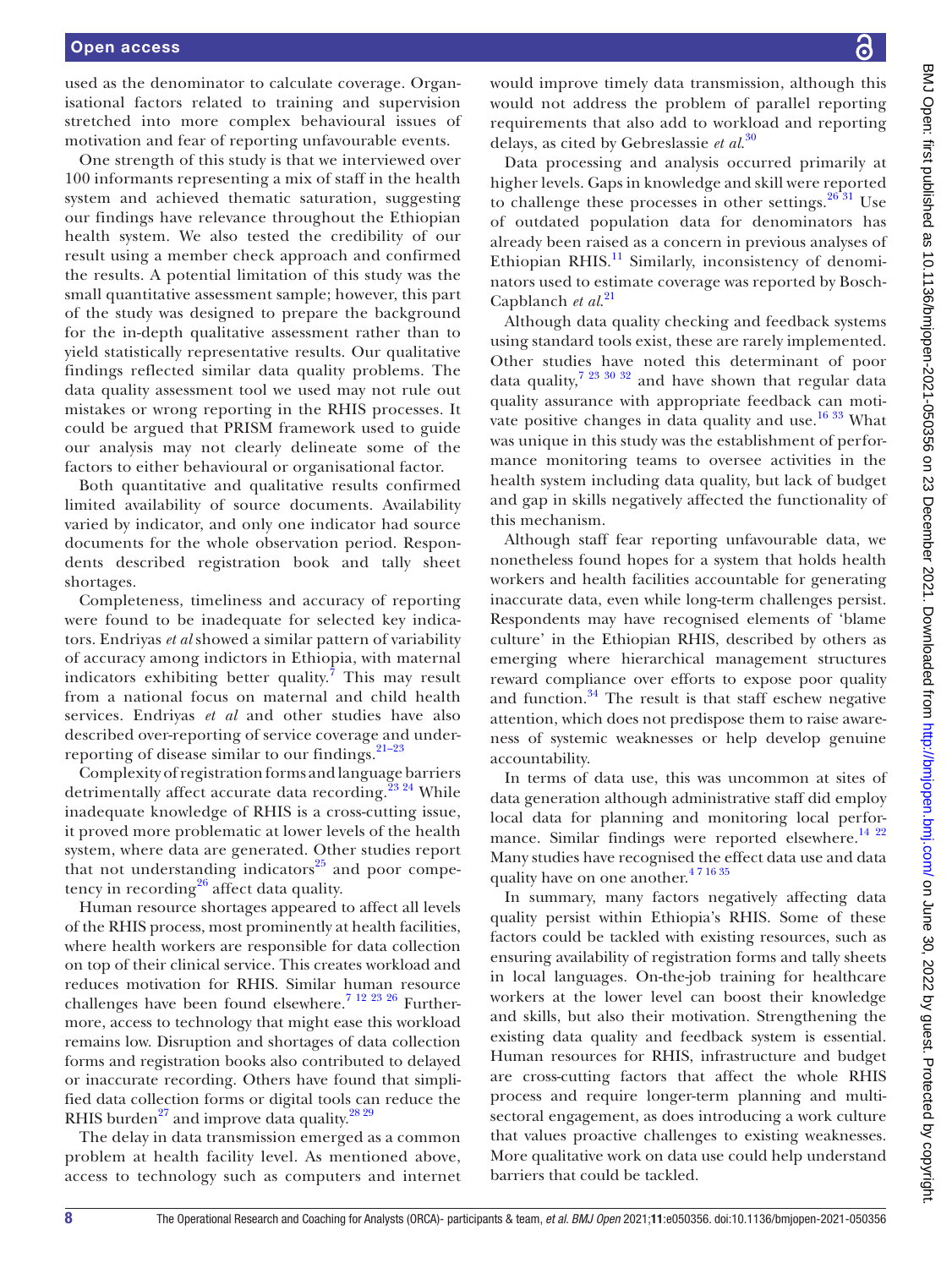## Open access

used as the denominator to calculate coverage. Organisational factors related to training and supervision stretched into more complex behavioural issues of motivation and fear of reporting unfavourable events.

One strength of this study is that we interviewed over 100 informants representing a mix of staff in the health system and achieved thematic saturation, suggesting our findings have relevance throughout the Ethiopian health system. We also tested the credibility of our result using a member check approach and confirmed the results. A potential limitation of this study was the small quantitative assessment sample; however, this part of the study was designed to prepare the background for the in-depth qualitative assessment rather than to yield statistically representative results. Our qualitative findings reflected similar data quality problems. The data quality assessment tool we used may not rule out mistakes or wrong reporting in the RHIS processes. It could be argued that PRISM framework used to guide our analysis may not clearly delineate some of the factors to either behavioural or organisational factor.

Both quantitative and qualitative results confirmed limited availability of source documents. Availability varied by indicator, and only one indicator had source documents for the whole observation period. Respondents described registration book and tally sheet shortages.

Completeness, timeliness and accuracy of reporting were found to be inadequate for selected key indicators. Endriyas *et al* showed a similar pattern of variability of accuracy among indictors in Ethiopia, with maternal indicators exhibiting better quality.<sup>[7](#page-8-10)</sup> This may result from a national focus on maternal and child health services. Endriyas *et al* and other studies have also described over-reporting of service coverage and underreporting of disease similar to our findings. $21-23$ 

Complexity of registration forms and language barriers detrimentally affect accurate data recording.<sup>23 24</sup> While inadequate knowledge of RHIS is a cross-cutting issue, it proved more problematic at lower levels of the health system, where data are generated. Other studies report that not understanding indicators $^{25}$  $^{25}$  $^{25}$  and poor compe-tency in recording<sup>[26](#page-9-2)</sup> affect data quality.

Human resource shortages appeared to affect all levels of the RHIS process, most prominently at health facilities, where health workers are responsible for data collection on top of their clinical service. This creates workload and reduces motivation for RHIS. Similar human resource challenges have been found elsewhere.<sup>7 12 23 26</sup> Furthermore, access to technology that might ease this workload remains low. Disruption and shortages of data collection forms and registration books also contributed to delayed or inaccurate recording. Others have found that simplified data collection forms or digital tools can reduce the RHIS burden<sup>27</sup> and improve data quality.<sup>[28 29](#page-9-4)</sup>

The delay in data transmission emerged as a common problem at health facility level. As mentioned above, access to technology such as computers and internet would improve timely data transmission, although this would not address the problem of parallel reporting requirements that also add to workload and reporting delays, as cited by Gebreslassie *et al*. [30](#page-9-5)

Data processing and analysis occurred primarily at higher levels. Gaps in knowledge and skill were reported to challenge these processes in other settings. $2631$  Use of outdated population data for denominators has already been raised as a concern in previous analyses of Ethiopian RHIS.<sup>11</sup> Similarly, inconsistency of denominators used to estimate coverage was reported by Bosch-Capblanch *et al*. [21](#page-8-11)

Although data quality checking and feedback systems using standard tools exist, these are rarely implemented. Other studies have noted this determinant of poor data quality,<sup>[7 23 30 32](#page-8-10)</sup> and have shown that regular data quality assurance with appropriate feedback can motivate positive changes in data quality and use.<sup>16 33</sup> What was unique in this study was the establishment of performance monitoring teams to oversee activities in the health system including data quality, but lack of budget and gap in skills negatively affected the functionality of this mechanism.

Although staff fear reporting unfavourable data, we nonetheless found hopes for a system that holds health workers and health facilities accountable for generating inaccurate data, even while long-term challenges persist. Respondents may have recognised elements of 'blame culture' in the Ethiopian RHIS, described by others as emerging where hierarchical management structures reward compliance over efforts to expose poor quality and function. $34$  The result is that staff eschew negative attention, which does not predispose them to raise awareness of systemic weaknesses or help develop genuine accountability.

In terms of data use, this was uncommon at sites of data generation although administrative staff did employ local data for planning and monitoring local perfor-mance. Similar findings were reported elsewhere.<sup>[14 22](#page-8-13)</sup> Many studies have recognised the effect data use and data quality have on one another.<sup>471635</sup>

In summary, many factors negatively affecting data quality persist within Ethiopia's RHIS. Some of these factors could be tackled with existing resources, such as ensuring availability of registration forms and tally sheets in local languages. On-the-job training for healthcare workers at the lower level can boost their knowledge and skills, but also their motivation. Strengthening the existing data quality and feedback system is essential. Human resources for RHIS, infrastructure and budget are cross-cutting factors that affect the whole RHIS process and require longer-term planning and multisectoral engagement, as does introducing a work culture that values proactive challenges to existing weaknesses. More qualitative work on data use could help understand barriers that could be tackled.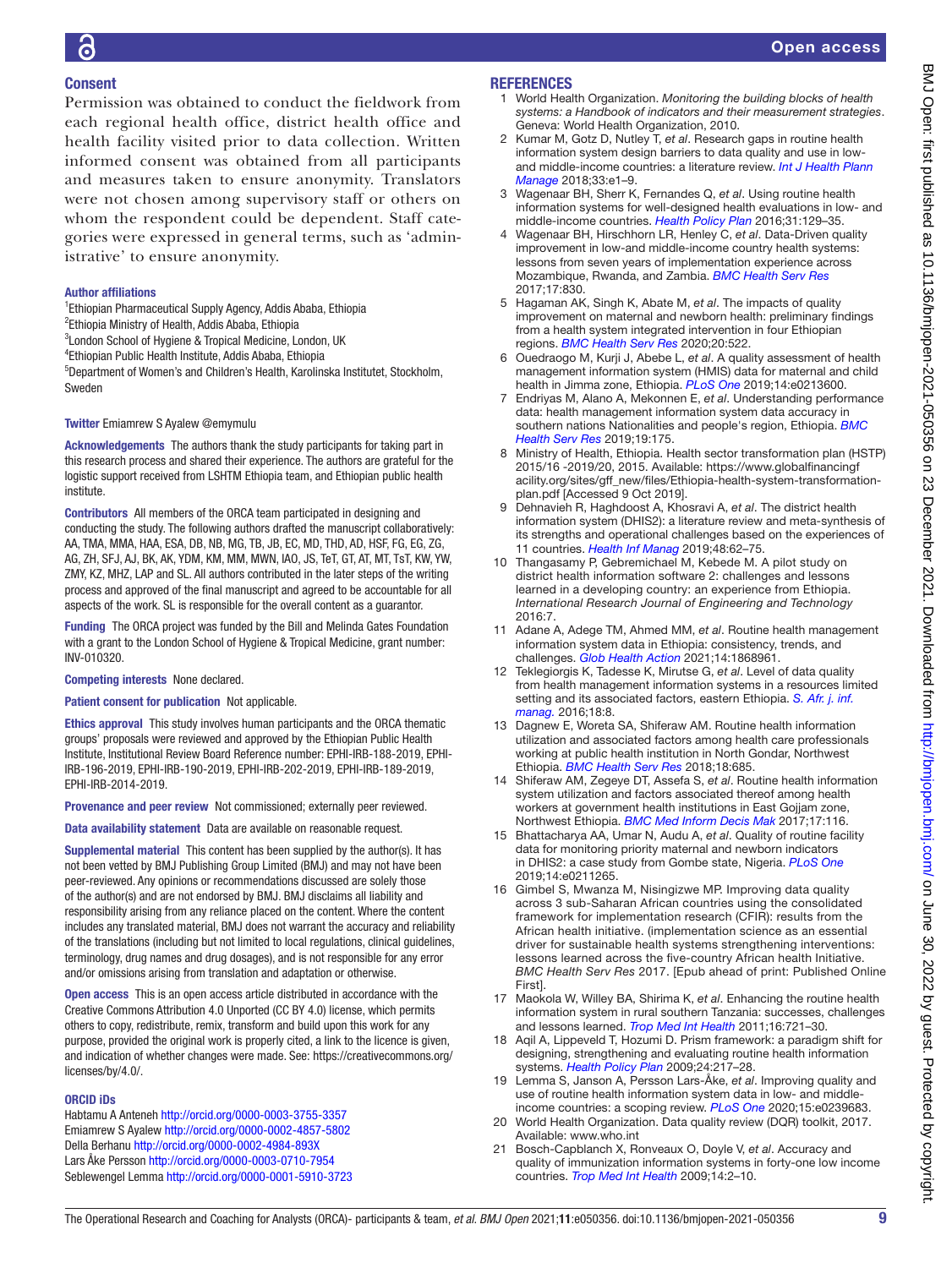# Open access

# Consent

Permission was obtained to conduct the fieldwork from each regional health office, district health office and health facility visited prior to data collection. Written informed consent was obtained from all participants and measures taken to ensure anonymity. Translators were not chosen among supervisory staff or others on whom the respondent could be dependent. Staff categories were expressed in general terms, such as 'administrative' to ensure anonymity.

#### Author affiliations

- <sup>1</sup> Ethiopian Pharmaceutical Supply Agency, Addis Ababa, Ethiopia
- <sup>2</sup>Ethiopia Ministry of Health, Addis Ababa, Ethiopia
- <sup>3</sup> London School of Hygiene & Tropical Medicine, London, UK
- 4 Ethiopian Public Health Institute, Addis Ababa, Ethiopia

5 Department of Women's and Children's Health, Karolinska Institutet, Stockholm, Sweden

#### Twitter Emiamrew S Ayalew [@emymulu](https://twitter.com/emymulu)

Acknowledgements The authors thank the study participants for taking part in this research process and shared their experience. The authors are grateful for the logistic support received from LSHTM Ethiopia team, and Ethiopian public health institute.

Contributors All members of the ORCA team participated in designing and conducting the study. The following authors drafted the manuscript collaboratively: AA, TMA, MMA, HAA, ESA, DB, NB, MG, TB, JB, EC, MD, THD, AD, HSF, FG, EG, ZG, AG, ZH, SFJ, AJ, BK, AK, YDM, KM, MM, MWN, IAO, JS, TeT, GT, AT, MT, TsT, KW, YW, ZMY, KZ, MHZ, LAP and SL. All authors contributed in the later steps of the writing process and approved of the final manuscript and agreed to be accountable for all aspects of the work. SL is responsible for the overall content as a guarantor.

Funding The ORCA project was funded by the Bill and Melinda Gates Foundation with a grant to the London School of Hygiene & Tropical Medicine, grant number: INV-010320.

#### Competing interests None declared.

#### Patient consent for publication Not applicable.

Ethics approval This study involves human participants and the ORCA thematic groups' proposals were reviewed and approved by the Ethiopian Public Health Institute, Institutional Review Board Reference number: EPHI-IRB-188-2019, EPHI-IRB-196-2019, EPHI-IRB-190-2019, EPHI-IRB-202-2019, EPHI-IRB-189-2019, EPHI-IRB-2014-2019.

Provenance and peer review Not commissioned; externally peer reviewed.

Data availability statement Data are available on reasonable request.

Supplemental material This content has been supplied by the author(s). It has not been vetted by BMJ Publishing Group Limited (BMJ) and may not have been peer-reviewed. Any opinions or recommendations discussed are solely those of the author(s) and are not endorsed by BMJ. BMJ disclaims all liability and responsibility arising from any reliance placed on the content. Where the content includes any translated material, BMJ does not warrant the accuracy and reliability of the translations (including but not limited to local regulations, clinical guidelines, terminology, drug names and drug dosages), and is not responsible for any error and/or omissions arising from translation and adaptation or otherwise.

Open access This is an open access article distributed in accordance with the Creative Commons Attribution 4.0 Unported (CC BY 4.0) license, which permits others to copy, redistribute, remix, transform and build upon this work for any purpose, provided the original work is properly cited, a link to the licence is given, and indication of whether changes were made. See: [https://creativecommons.org/](https://creativecommons.org/licenses/by/4.0/) [licenses/by/4.0/.](https://creativecommons.org/licenses/by/4.0/)

#### ORCID iDs

Habtamu A Anteneh <http://orcid.org/0000-0003-3755-3357> Emiamrew S Ayalew<http://orcid.org/0000-0002-4857-5802> Della Berhanu <http://orcid.org/0000-0002-4984-893X> Lars Åke Persson<http://orcid.org/0000-0003-0710-7954> Seblewengel Lemma<http://orcid.org/0000-0001-5910-3723>

#### **REFERENCES**

- <span id="page-8-0"></span>1 World Health Organization. *Monitoring the building blocks of health systems: a Handbook of indicators and their measurement strategies*. Geneva: World Health Organization, 2010.
- <span id="page-8-1"></span>2 Kumar M, Gotz D, Nutley T, *et al*. Research gaps in routine health information system design barriers to data quality and use in lowand middle-income countries: a literature review. *[Int J Health Plann](http://dx.doi.org/10.1002/hpm.2447)  [Manage](http://dx.doi.org/10.1002/hpm.2447)* 2018;33:e1–9.
- 3 Wagenaar BH, Sherr K, Fernandes Q, *et al*. Using routine health information systems for well-designed health evaluations in low- and middle-income countries. *[Health Policy Plan](http://dx.doi.org/10.1093/heapol/czv029)* 2016;31:129–35.
- <span id="page-8-14"></span>4 Wagenaar BH, Hirschhorn LR, Henley C, *et al*. Data-Driven quality improvement in low-and middle-income country health systems: lessons from seven years of implementation experience across Mozambique, Rwanda, and Zambia. *[BMC Health Serv Res](http://dx.doi.org/10.1186/s12913-017-2661-x)* 2017;17:830.
- <span id="page-8-2"></span>5 Hagaman AK, Singh K, Abate M, *et al*. The impacts of quality improvement on maternal and newborn health: preliminary findings from a health system integrated intervention in four Ethiopian regions. *[BMC Health Serv Res](http://dx.doi.org/10.1186/s12913-020-05391-3)* 2020;20:522.
- 6 Ouedraogo M, Kurji J, Abebe L, *et al*. A quality assessment of health management information system (HMIS) data for maternal and child health in Jimma zone, Ethiopia. *[PLoS One](http://dx.doi.org/10.1371/journal.pone.0213600)* 2019;14:e0213600.
- <span id="page-8-10"></span>7 Endriyas M, Alano A, Mekonnen E, *et al*. Understanding performance data: health management information system data accuracy in southern nations Nationalities and people's region, Ethiopia. *[BMC](http://dx.doi.org/10.1186/s12913-019-3991-7)  [Health Serv Res](http://dx.doi.org/10.1186/s12913-019-3991-7)* 2019;19:175.
- <span id="page-8-3"></span>8 Ministry of Health, Ethiopia. Health sector transformation plan (HSTP) 2015/16 -2019/20, 2015. Available: [https://www.globalfinancingf](https://www.globalfinancingfacility.org/sites/gff_new/files/Ethiopia-health-system-transformation-plan.pdf) [acility.org/sites/gff\\_new/files/Ethiopia-health-system-transformation](https://www.globalfinancingfacility.org/sites/gff_new/files/Ethiopia-health-system-transformation-plan.pdf)[plan.pdf](https://www.globalfinancingfacility.org/sites/gff_new/files/Ethiopia-health-system-transformation-plan.pdf) [Accessed 9 Oct 2019].
- <span id="page-8-4"></span>9 Dehnavieh R, Haghdoost A, Khosravi A, *et al*. The district health information system (DHIS2): a literature review and meta-synthesis of its strengths and operational challenges based on the experiences of 11 countries. *[Health Inf Manag](http://dx.doi.org/10.1177/1833358318777713)* 2019;48:62–75.
- 10 Thangasamy P, Gebremichael M, Kebede M. A pilot study on district health information software 2: challenges and lessons learned in a developing country: an experience from Ethiopia. *International Research Journal of Engineering and Technology* 2016:7.
- <span id="page-8-5"></span>11 Adane A, Adege TM, Ahmed MM, *et al*. Routine health management information system data in Ethiopia: consistency, trends, and challenges. *[Glob Health Action](http://dx.doi.org/10.1080/16549716.2020.1868961)* 2021;14:1868961.
- 12 Teklegiorgis K, Tadesse K, Mirutse G, *et al*. Level of data quality from health management information systems in a resources limited setting and its associated factors, eastern Ethiopia. *[S. Afr. j. inf.](http://dx.doi.org/10.4102/sajim.v18i1.612)  [manag.](http://dx.doi.org/10.4102/sajim.v18i1.612)* 2016;18:8.
- 13 Dagnew E, Woreta SA, Shiferaw AM. Routine health information utilization and associated factors among health care professionals working at public health institution in North Gondar, Northwest Ethiopia. *[BMC Health Serv Res](http://dx.doi.org/10.1186/s12913-018-3498-7)* 2018;18:685.
- <span id="page-8-13"></span>14 Shiferaw AM, Zegeye DT, Assefa S, *et al*. Routine health information system utilization and factors associated thereof among health workers at government health institutions in East Gojjam zone, Northwest Ethiopia. *[BMC Med Inform Decis Mak](http://dx.doi.org/10.1186/s12911-017-0509-2)* 2017;17:116.
- <span id="page-8-6"></span>15 Bhattacharya AA, Umar N, Audu A, *et al*. Quality of routine facility data for monitoring priority maternal and newborn indicators in DHIS2: a case study from Gombe state, Nigeria. *[PLoS One](http://dx.doi.org/10.1371/journal.pone.0211265)* 2019;14:e0211265.
- <span id="page-8-12"></span>16 Gimbel S, Mwanza M, Nisingizwe MP. Improving data quality across 3 sub-Saharan African countries using the consolidated framework for implementation research (CFIR): results from the African health initiative. (implementation science as an essential driver for sustainable health systems strengthening interventions: lessons learned across the five-country African health Initiative. *BMC Health Serv Res* 2017. [Epub ahead of print: Published Online First].
- 17 Maokola W, Willey BA, Shirima K, *et al*. Enhancing the routine health information system in rural southern Tanzania: successes, challenges and lessons learned. *[Trop Med Int Health](http://dx.doi.org/10.1111/j.1365-3156.2011.02751.x)* 2011;16:721–30.
- <span id="page-8-7"></span>18 Aqil A, Lippeveld T, Hozumi D. Prism framework: a paradigm shift for designing, strengthening and evaluating routine health information systems. *[Health Policy Plan](http://dx.doi.org/10.1093/heapol/czp010)* 2009;24:217–28.
- <span id="page-8-8"></span>19 Lemma S, Janson A, Persson Lars-Åke, *et al*. Improving quality and use of routine health information system data in low- and middleincome countries: a scoping review. *[PLoS One](http://dx.doi.org/10.1371/journal.pone.0239683)* 2020;15:e0239683.
- <span id="page-8-9"></span>20 World Health Organization. Data quality review (DQR) toolkit, 2017. Available: <www.who.int>
- <span id="page-8-11"></span>21 Bosch-Capblanch X, Ronveaux O, Doyle V, *et al*. Accuracy and quality of immunization information systems in forty-one low income countries. *[Trop Med Int Health](http://dx.doi.org/10.1111/j.1365-3156.2008.02181.x)* 2009;14:2–10.